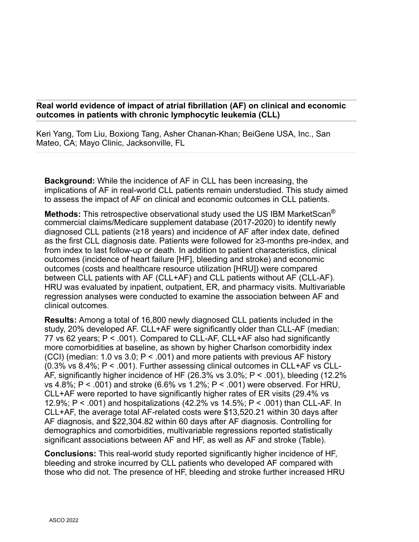## **Real world evidence of impact of atrial fibrillation (AF) on clinical and economic outcomes in patients with chronic lymphocytic leukemia (CLL)**

Keri Yang, Tom Liu, Boxiong Tang, Asher Chanan-Khan; BeiGene USA, Inc., San Mateo, CA; Mayo Clinic, Jacksonville, FL

**Background:** While the incidence of AF in CLL has been increasing, the implications of AF in real-world CLL patients remain understudied. This study aimed to assess the impact of AF on clinical and economic outcomes in CLL patients.

**Methods:** This retrospective observational study used the US IBM MarketScan® commercial claims/Medicare supplement database (2017-2020) to identify newly diagnosed CLL patients (≥18 years) and incidence of AF after index date, defined as the first CLL diagnosis date. Patients were followed for ≥3-months pre-index, and from index to last follow-up or death. In addition to patient characteristics, clinical outcomes (incidence of heart failure [HF], bleeding and stroke) and economic outcomes (costs and healthcare resource utilization [HRU]) were compared between CLL patients with AF (CLL+AF) and CLL patients without AF (CLL-AF). HRU was evaluated by inpatient, outpatient, ER, and pharmacy visits. Multivariable regression analyses were conducted to examine the association between AF and clinical outcomes.

**Results:** Among a total of 16,800 newly diagnosed CLL patients included in the study, 20% developed AF. CLL+AF were significantly older than CLL-AF (median: 77 vs 62 years; P < .001). Compared to CLL-AF, CLL+AF also had significantly more comorbidities at baseline, as shown by higher Charlson comorbidity index (CCI) (median: 1.0 vs 3.0;  $P < 0.01$ ) and more patients with previous AF history (0.3% vs 8.4%; P < .001). Further assessing clinical outcomes in CLL+AF vs CLL-AF, significantly higher incidence of HF (26.3% vs 3.0%; P < .001), bleeding (12.2% vs 4.8%; P < .001) and stroke (6.6% vs 1.2%; P < .001) were observed. For HRU, CLL+AF were reported to have significantly higher rates of ER visits (29.4% vs 12.9%; P < .001) and hospitalizations (42.2% vs 14.5%; P < .001) than CLL-AF. In CLL+AF, the average total AF-related costs were \$13,520.21 within 30 days after AF diagnosis, and \$22,304.82 within 60 days after AF diagnosis. Controlling for demographics and comorbidities, multivariable regressions reported statistically significant associations between AF and HF, as well as AF and stroke (Table).

**Conclusions:** This real-world study reported significantly higher incidence of HF, bleeding and stroke incurred by CLL patients who developed AF compared with those who did not. The presence of HF, bleeding and stroke further increased HRU